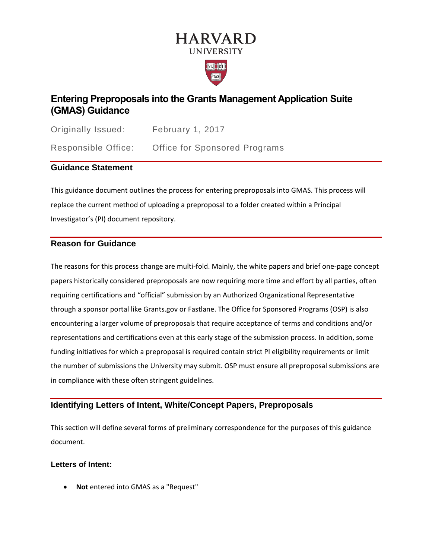# **HARVARD UNIVERSITY**



# **Entering Preproposals into the Grants Management Application Suite (GMAS) Guidance**

Originally Issued: February 1, 2017 Responsible Office: Office for Sponsored Programs

# **Guidance Statement**

This guidance document outlines the process for entering preproposals into GMAS. This process will replace the current method of uploading a preproposal to a folder created within a Principal Investigator's (PI) document repository.

## **Reason for Guidance**

The reasons for this process change are multi-fold. Mainly, the white papers and brief one-page concept papers historically considered preproposals are now requiring more time and effort by all parties, often requiring certifications and "official" submission by an Authorized Organizational Representative through a sponsor portal like Grants.gov or Fastlane. The Office for Sponsored Programs (OSP) is also encountering a larger volume of preproposals that require acceptance of terms and conditions and/or representations and certifications even at this early stage of the submission process. In addition, some funding initiatives for which a preproposal is required contain strict PI eligibility requirements or limit the number of submissions the University may submit. OSP must ensure all preproposal submissions are in compliance with these often stringent guidelines.

# **Identifying Letters of Intent, White/Concept Papers, Preproposals**

This section will define several forms of preliminary correspondence for the purposes of this guidance document.

#### **Letters of Intent:**

• **Not** entered into GMAS as a "Request"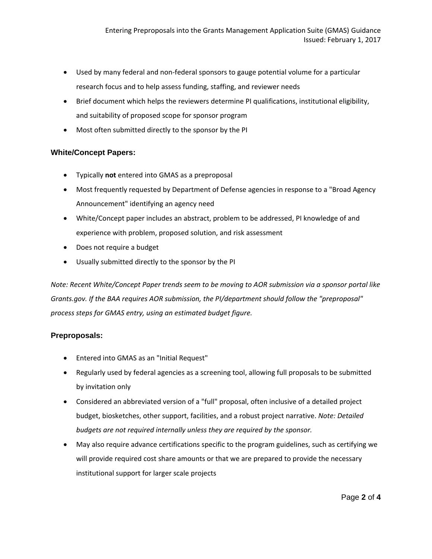- Used by many federal and non-federal sponsors to gauge potential volume for a particular research focus and to help assess funding, staffing, and reviewer needs
- Brief document which helps the reviewers determine PI qualifications, institutional eligibility, and suitability of proposed scope for sponsor program
- Most often submitted directly to the sponsor by the PI

#### **White/Concept Papers:**

- Typically **not** entered into GMAS as a preproposal
- Most frequently requested by Department of Defense agencies in response to a "Broad Agency Announcement" identifying an agency need
- White/Concept paper includes an abstract, problem to be addressed, PI knowledge of and experience with problem, proposed solution, and risk assessment
- Does not require a budget
- Usually submitted directly to the sponsor by the PI

*Note: Recent White/Concept Paper trends seem to be moving to AOR submission via a sponsor portal like Grants.gov. If the BAA requires AOR submission, the PI/department should follow the "preproposal" process steps for GMAS entry, using an estimated budget figure.*

#### **Preproposals:**

- Entered into GMAS as an "Initial Request"
- Regularly used by federal agencies as a screening tool, allowing full proposals to be submitted by invitation only
- Considered an abbreviated version of a "full" proposal, often inclusive of a detailed project budget, biosketches, other support, facilities, and a robust project narrative. *Note: Detailed budgets are not required internally unless they are required by the sponsor.*
- May also require advance certifications specific to the program guidelines, such as certifying we will provide required cost share amounts or that we are prepared to provide the necessary institutional support for larger scale projects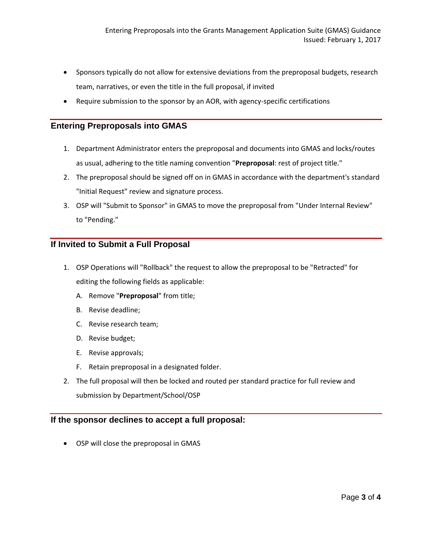- Sponsors typically do not allow for extensive deviations from the preproposal budgets, research team, narratives, or even the title in the full proposal, if invited
- Require submission to the sponsor by an AOR, with agency-specific certifications

#### **Entering Preproposals into GMAS**

- 1. Department Administrator enters the preproposal and documents into GMAS and locks/routes as usual, adhering to the title naming convention "**Preproposal**: rest of project title."
- 2. The preproposal should be signed off on in GMAS in accordance with the department's standard "Initial Request" review and signature process.
- 3. OSP will "Submit to Sponsor" in GMAS to move the preproposal from "Under Internal Review" to "Pending."

## **If Invited to Submit a Full Proposal**

- 1. OSP Operations will "Rollback" the request to allow the preproposal to be "Retracted" for editing the following fields as applicable:
	- A. Remove "**Preproposal**" from title;
	- B. Revise deadline;
	- C. Revise research team;
	- D. Revise budget;
	- E. Revise approvals;
	- F. Retain preproposal in a designated folder.
- 2. The full proposal will then be locked and routed per standard practice for full review and submission by Department/School/OSP

#### **If the sponsor declines to accept a full proposal:**

• OSP will close the preproposal in GMAS